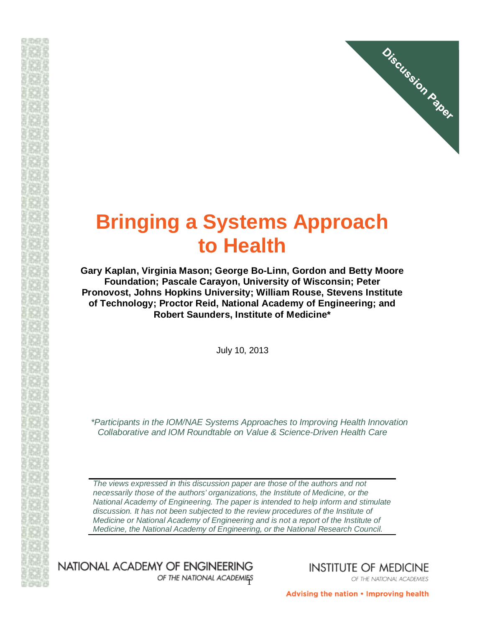

# **Bringing a Systems Approach to Health**

**Gary Kaplan, Virginia Mason; George Bo-Linn, Gordon and Betty Moore Foundation; Pascale Carayon, University of Wisconsin; Peter Pronovost, Johns Hopkins University; William Rouse, Stevens Institute of Technology; Proctor Reid, National Academy of Engineering; and Robert Saunders, Institute of Medicine\***

July 10, 2013

*\*Participants in the IOM/NAE Systems Approaches to Improving Health Innovation Collaborative and IOM Roundtable on Value & Science-Driven Health Care*

*The views expressed in this discussion paper are those of the authors and not necessarily those of the authors' organizations, the Institute of Medicine, or the National Academy of Engineering. The paper is intended to help inform and stimulate discussion. It has not been subjected to the review procedures of the Institute of Medicine or National Academy of Engineering and is not a report of the Institute of Medicine, the National Academy of Engineering, or the National Research Council.*

NATIONAL ACADEMY OF ENGINEERING OF THE NATIONAL ACADEMIES **INSTITUTE OF MEDICINE** OF THE NATIONAL ACADEMIES

Advising the nation • Improving health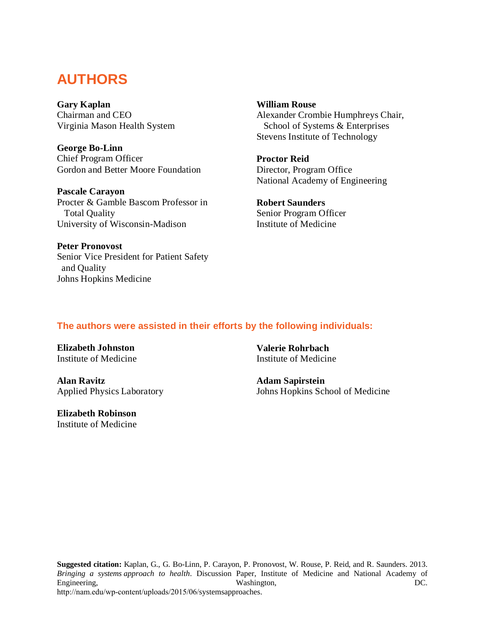# **AUTHORS**

**Gary Kaplan** Chairman and CEO Virginia Mason Health System

**George Bo-Linn** Chief Program Officer Gordon and Better Moore Foundation

**Pascale Carayon** Procter & Gamble Bascom Professor in Total Quality University of Wisconsin-Madison

**Peter Pronovost** Senior Vice President for Patient Safety and Quality Johns Hopkins Medicine

**William Rouse** Alexander Crombie Humphreys Chair, School of Systems & Enterprises Stevens Institute of Technology

**Proctor Reid** Director, Program Office National Academy of Engineering

**Robert Saunders** Senior Program Officer Institute of Medicine

# **The authors were assisted in their efforts by the following individuals:**

**Elizabeth Johnston** Institute of Medicine

**Alan Ravitz** Applied Physics Laboratory

**Elizabeth Robinson** Institute of Medicine

**Valerie Rohrbach** Institute of Medicine

**Adam Sapirstein** Johns Hopkins School of Medicine

**Suggested citation:** Kaplan, G., G. Bo-Linn, P. Carayon, P. Pronovost, W. Rouse, P. Reid, and R. Saunders. 2013. *Bringing a systems approach to health*. Discussion Paper, Institute of Medicine and National Academy of Engineering, Engineering, Engineering, Engineering, Engineering, Engineering, Engineering, Engineering, Engineering, Engineering, Engineering, Engineering, Engineering, Engineering, Engineering, Engineering, Engineering, E http://nam.edu/wp-content/uploads/2015/06/systemsapproaches.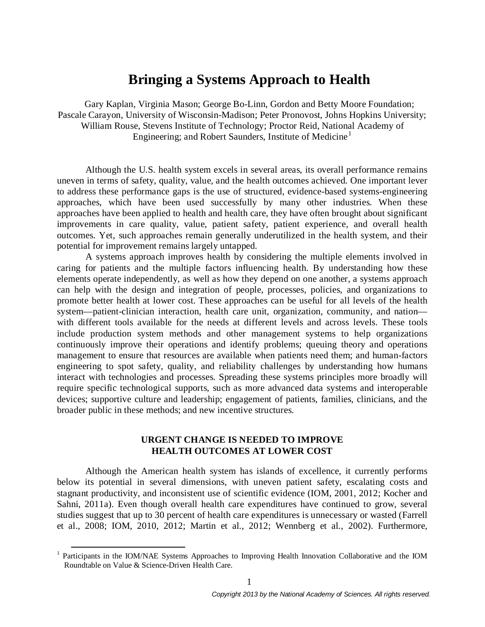# **Bringing a Systems Approach to Health**

Gary Kaplan, Virginia Mason; George Bo-Linn, Gordon and Betty Moore Foundation; Pascale Carayon, University of Wisconsin-Madison; Peter Pronovost, Johns Hopkins University; William Rouse, Stevens Institute of Technology; Proctor Reid, National Academy of Engineering; and Robert Saunders, Institute of Medicine<sup>[1](#page-2-0)</sup>

Although the U.S. health system excels in several areas, its overall performance remains uneven in terms of safety, quality, value, and the health outcomes achieved. One important lever to address these performance gaps is the use of structured, evidence-based systems-engineering approaches, which have been used successfully by many other industries. When these approaches have been applied to health and health care, they have often brought about significant improvements in care quality, value, patient safety, patient experience, and overall health outcomes. Yet, such approaches remain generally underutilized in the health system, and their potential for improvement remains largely untapped.

A systems approach improves health by considering the multiple elements involved in caring for patients and the multiple factors influencing health. By understanding how these elements operate independently, as well as how they depend on one another, a systems approach can help with the design and integration of people, processes, policies, and organizations to promote better health at lower cost. These approaches can be useful for all levels of the health system—patient-clinician interaction, health care unit, organization, community, and nation with different tools available for the needs at different levels and across levels. These tools include production system methods and other management systems to help organizations continuously improve their operations and identify problems; queuing theory and operations management to ensure that resources are available when patients need them; and human-factors engineering to spot safety, quality, and reliability challenges by understanding how humans interact with technologies and processes. Spreading these systems principles more broadly will require specific technological supports, such as more advanced data systems and interoperable devices; supportive culture and leadership; engagement of patients, families, clinicians, and the broader public in these methods; and new incentive structures.

# **URGENT CHANGE IS NEEDED TO IMPROVE HEALTH OUTCOMES AT LOWER COST**

Although the American health system has islands of excellence, it currently performs below its potential in several dimensions, with uneven patient safety, escalating costs and stagnant productivity, and inconsistent use of scientific evidence (IOM, 2001, 2012; Kocher and Sahni, 2011a). Even though overall health care expenditures have continued to grow, several studies suggest that up to 30 percent of health care expenditures is unnecessary or wasted (Farrell et al., 2008; IOM, 2010, 2012; Martin et al., 2012; Wennberg et al., 2002). Furthermore,

<span id="page-2-0"></span><sup>&</sup>lt;sup>1</sup> Participants in the IOM/NAE Systems Approaches to Improving Health Innovation Collaborative and the IOM Roundtable on Value & Science-Driven Health Care.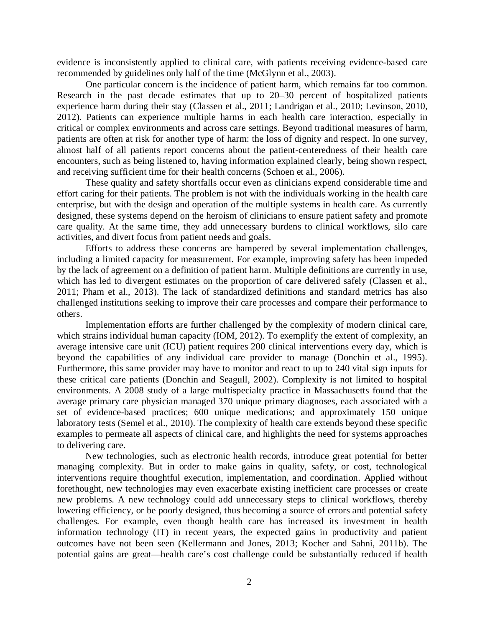evidence is inconsistently applied to clinical care, with patients receiving evidence-based care recommended by guidelines only half of the time (McGlynn et al., 2003).

One particular concern is the incidence of patient harm, which remains far too common. Research in the past decade estimates that up to 20–30 percent of hospitalized patients experience harm during their stay (Classen et al., 2011; Landrigan et al., 2010; Levinson, 2010, 2012). Patients can experience multiple harms in each health care interaction, especially in critical or complex environments and across care settings. Beyond traditional measures of harm, patients are often at risk for another type of harm: the loss of dignity and respect. In one survey, almost half of all patients report concerns about the patient-centeredness of their health care encounters, such as being listened to, having information explained clearly, being shown respect, and receiving sufficient time for their health concerns (Schoen et al., 2006).

These quality and safety shortfalls occur even as clinicians expend considerable time and effort caring for their patients. The problem is not with the individuals working in the health care enterprise, but with the design and operation of the multiple systems in health care. As currently designed, these systems depend on the heroism of clinicians to ensure patient safety and promote care quality. At the same time, they add unnecessary burdens to clinical workflows, silo care activities, and divert focus from patient needs and goals.

Efforts to address these concerns are hampered by several implementation challenges, including a limited capacity for measurement. For example, improving safety has been impeded by the lack of agreement on a definition of patient harm. Multiple definitions are currently in use, which has led to divergent estimates on the proportion of care delivered safely (Classen et al., 2011; Pham et al., 2013). The lack of standardized definitions and standard metrics has also challenged institutions seeking to improve their care processes and compare their performance to others.

Implementation efforts are further challenged by the complexity of modern clinical care, which strains individual human capacity (IOM, 2012). To exemplify the extent of complexity, an average intensive care unit (ICU) patient requires 200 clinical interventions every day, which is beyond the capabilities of any individual care provider to manage (Donchin et al., 1995). Furthermore, this same provider may have to monitor and react to up to 240 vital sign inputs for these critical care patients (Donchin and Seagull, 2002). Complexity is not limited to hospital environments. A 2008 study of a large multispecialty practice in Massachusetts found that the average primary care physician managed 370 unique primary diagnoses, each associated with a set of evidence-based practices; 600 unique medications; and approximately 150 unique laboratory tests (Semel et al., 2010). The complexity of health care extends beyond these specific examples to permeate all aspects of clinical care, and highlights the need for systems approaches to delivering care.

New technologies, such as electronic health records, introduce great potential for better managing complexity. But in order to make gains in quality, safety, or cost, technological interventions require thoughtful execution, implementation, and coordination. Applied without forethought, new technologies may even exacerbate existing inefficient care processes or create new problems. A new technology could add unnecessary steps to clinical workflows, thereby lowering efficiency, or be poorly designed, thus becoming a source of errors and potential safety challenges. For example, even though health care has increased its investment in health information technology (IT) in recent years, the expected gains in productivity and patient outcomes have not been seen (Kellermann and Jones, 2013; Kocher and Sahni, 2011b). The potential gains are great—health care's cost challenge could be substantially reduced if health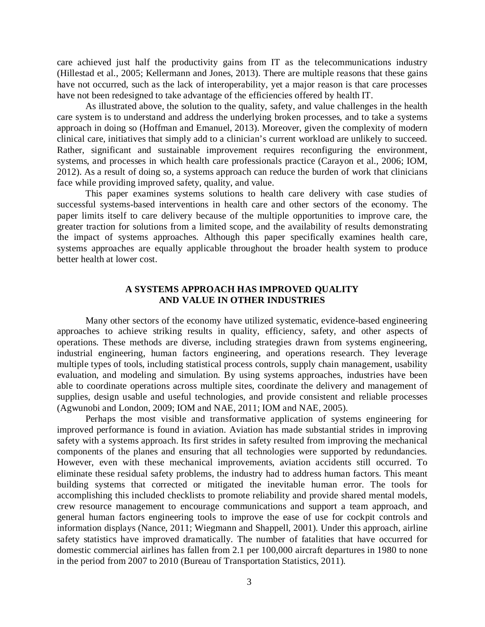care achieved just half the productivity gains from IT as the telecommunications industry (Hillestad et al., 2005; Kellermann and Jones, 2013). There are multiple reasons that these gains have not occurred, such as the lack of interoperability, yet a major reason is that care processes have not been redesigned to take advantage of the efficiencies offered by health IT.

As illustrated above, the solution to the quality, safety, and value challenges in the health care system is to understand and address the underlying broken processes, and to take a systems approach in doing so (Hoffman and Emanuel, 2013). Moreover, given the complexity of modern clinical care, initiatives that simply add to a clinician's current workload are unlikely to succeed. Rather, significant and sustainable improvement requires reconfiguring the environment, systems, and processes in which health care professionals practice (Carayon et al., 2006; IOM, 2012). As a result of doing so, a systems approach can reduce the burden of work that clinicians face while providing improved safety, quality, and value.

This paper examines systems solutions to health care delivery with case studies of successful systems-based interventions in health care and other sectors of the economy. The paper limits itself to care delivery because of the multiple opportunities to improve care, the greater traction for solutions from a limited scope, and the availability of results demonstrating the impact of systems approaches. Although this paper specifically examines health care, systems approaches are equally applicable throughout the broader health system to produce better health at lower cost.

# **A SYSTEMS APPROACH HAS IMPROVED QUALITY AND VALUE IN OTHER INDUSTRIES**

Many other sectors of the economy have utilized systematic, evidence-based engineering approaches to achieve striking results in quality, efficiency, safety, and other aspects of operations. These methods are diverse, including strategies drawn from systems engineering, industrial engineering, human factors engineering, and operations research. They leverage multiple types of tools, including statistical process controls, supply chain management, usability evaluation, and modeling and simulation. By using systems approaches, industries have been able to coordinate operations across multiple sites, coordinate the delivery and management of supplies, design usable and useful technologies, and provide consistent and reliable processes (Agwunobi and London, 2009; IOM and NAE, 2011; IOM and NAE, 2005)*.*

Perhaps the most visible and transformative application of systems engineering for improved performance is found in aviation. Aviation has made substantial strides in improving safety with a systems approach. Its first strides in safety resulted from improving the mechanical components of the planes and ensuring that all technologies were supported by redundancies. However, even with these mechanical improvements, aviation accidents still occurred. To eliminate these residual safety problems, the industry had to address human factors. This meant building systems that corrected or mitigated the inevitable human error. The tools for accomplishing this included checklists to promote reliability and provide shared mental models, crew resource management to encourage communications and support a team approach, and general human factors engineering tools to improve the ease of use for cockpit controls and information displays (Nance, 2011; Wiegmann and Shappell, 2001)*.* Under this approach, airline safety statistics have improved dramatically. The number of fatalities that have occurred for domestic commercial airlines has fallen from 2.1 per 100,000 aircraft departures in 1980 to none in the period from 2007 to 2010 (Bureau of Transportation Statistics, 2011)*.*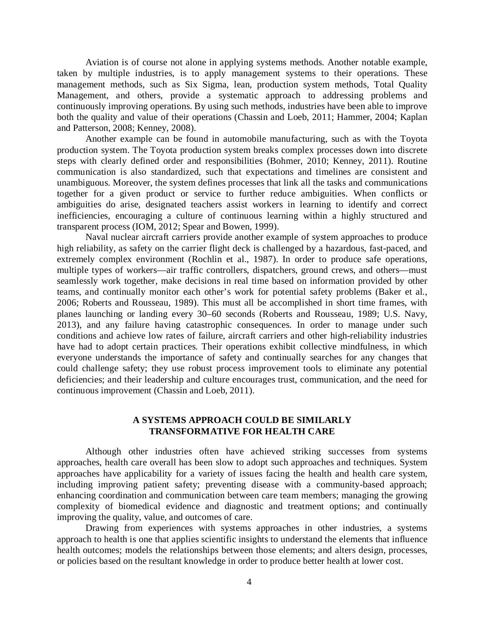Aviation is of course not alone in applying systems methods. Another notable example, taken by multiple industries, is to apply management systems to their operations. These management methods, such as Six Sigma, lean, production system methods, Total Quality Management, and others, provide a systematic approach to addressing problems and continuously improving operations. By using such methods, industries have been able to improve both the quality and value of their operations (Chassin and Loeb, 2011; Hammer, 2004; Kaplan and Patterson, 2008; Kenney, 2008).

Another example can be found in automobile manufacturing, such as with the Toyota production system. The Toyota production system breaks complex processes down into discrete steps with clearly defined order and responsibilities (Bohmer, 2010; Kenney, 2011). Routine communication is also standardized, such that expectations and timelines are consistent and unambiguous. Moreover, the system defines processes that link all the tasks and communications together for a given product or service to further reduce ambiguities. When conflicts or ambiguities do arise, designated teachers assist workers in learning to identify and correct inefficiencies, encouraging a culture of continuous learning within a highly structured and transparent process (IOM, 2012; Spear and Bowen, 1999).

Naval nuclear aircraft carriers provide another example of system approaches to produce high reliability, as safety on the carrier flight deck is challenged by a hazardous, fast-paced, and extremely complex environment (Rochlin et al., 1987). In order to produce safe operations, multiple types of workers—air traffic controllers, dispatchers, ground crews, and others—must seamlessly work together, make decisions in real time based on information provided by other teams, and continually monitor each other's work for potential safety problems (Baker et al., 2006; Roberts and Rousseau, 1989). This must all be accomplished in short time frames, with planes launching or landing every 30–60 seconds (Roberts and Rousseau, 1989; U.S. Navy, 2013), and any failure having catastrophic consequences. In order to manage under such conditions and achieve low rates of failure, aircraft carriers and other high-reliability industries have had to adopt certain practices. Their operations exhibit collective mindfulness, in which everyone understands the importance of safety and continually searches for any changes that could challenge safety; they use robust process improvement tools to eliminate any potential deficiencies; and their leadership and culture encourages trust, communication, and the need for continuous improvement (Chassin and Loeb, 2011).

## **A SYSTEMS APPROACH COULD BE SIMILARLY TRANSFORMATIVE FOR HEALTH CARE**

Although other industries often have achieved striking successes from systems approaches, health care overall has been slow to adopt such approaches and techniques. System approaches have applicability for a variety of issues facing the health and health care system, including improving patient safety; preventing disease with a community-based approach; enhancing coordination and communication between care team members; managing the growing complexity of biomedical evidence and diagnostic and treatment options; and continually improving the quality, value, and outcomes of care.

Drawing from experiences with systems approaches in other industries, a systems approach to health is one that applies scientific insights to understand the elements that influence health outcomes; models the relationships between those elements; and alters design, processes, or policies based on the resultant knowledge in order to produce better health at lower cost.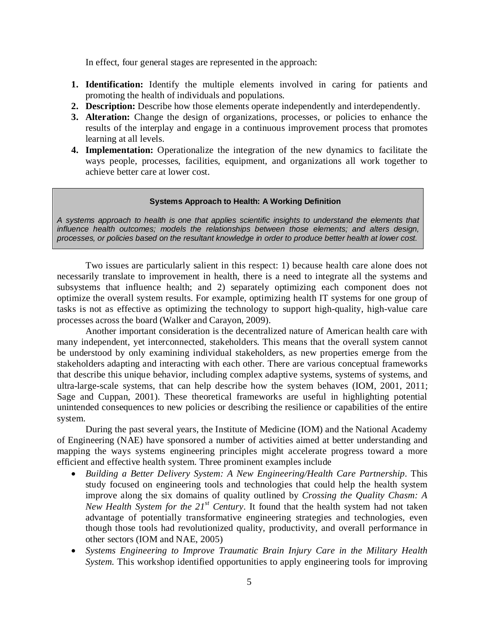In effect, four general stages are represented in the approach:

- **1. Identification:** Identify the multiple elements involved in caring for patients and promoting the health of individuals and populations.
- **2. Description:** Describe how those elements operate independently and interdependently.
- **3. Alteration:** Change the design of organizations, processes, or policies to enhance the results of the interplay and engage in a continuous improvement process that promotes learning at all levels.
- **4. Implementation:** Operationalize the integration of the new dynamics to facilitate the ways people, processes, facilities, equipment, and organizations all work together to achieve better care at lower cost.

#### **Systems Approach to Health: A Working Definition**

*A systems approach to health is one that applies scientific insights to understand the elements that influence health outcomes; models the relationships between those elements; and alters design, processes, or policies based on the resultant knowledge in order to produce better health at lower cost.*

Two issues are particularly salient in this respect: 1) because health care alone does not necessarily translate to improvement in health, there is a need to integrate all the systems and subsystems that influence health; and 2) separately optimizing each component does not optimize the overall system results. For example, optimizing health IT systems for one group of tasks is not as effective as optimizing the technology to support high-quality, high-value care processes across the board (Walker and Carayon, 2009).

Another important consideration is the decentralized nature of American health care with many independent, yet interconnected, stakeholders. This means that the overall system cannot be understood by only examining individual stakeholders, as new properties emerge from the stakeholders adapting and interacting with each other. There are various conceptual frameworks that describe this unique behavior, including complex adaptive systems, systems of systems, and ultra-large-scale systems, that can help describe how the system behaves (IOM, 2001, 2011; Sage and Cuppan, 2001). These theoretical frameworks are useful in highlighting potential unintended consequences to new policies or describing the resilience or capabilities of the entire system.

During the past several years, the Institute of Medicine (IOM) and the National Academy of Engineering (NAE) have sponsored a number of activities aimed at better understanding and mapping the ways systems engineering principles might accelerate progress toward a more efficient and effective health system. Three prominent examples include

- *Building a Better Delivery System: A New Engineering/Health Care Partnership*. This study focused on engineering tools and technologies that could help the health system improve along the six domains of quality outlined by *Crossing the Quality Chasm: A New Health System for the 21st Century*. It found that the health system had not taken advantage of potentially transformative engineering strategies and technologies, even though those tools had revolutionized quality, productivity, and overall performance in other sectors (IOM and NAE, 2005)
- *Systems Engineering to Improve Traumatic Brain Injury Care in the Military Health System.* This workshop identified opportunities to apply engineering tools for improving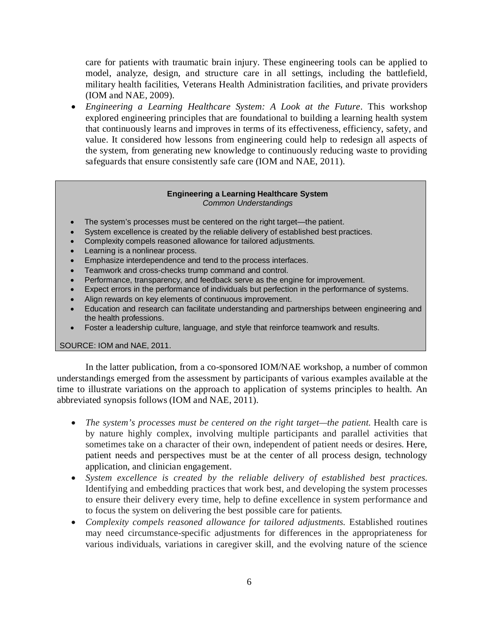care for patients with traumatic brain injury. These engineering tools can be applied to model, analyze, design, and structure care in all settings, including the battlefield, military health facilities, Veterans Health Administration facilities, and private providers (IOM and NAE, 2009).

• *Engineering a Learning Healthcare System: A Look at the Future*. This workshop explored engineering principles that are foundational to building a learning health system that continuously learns and improves in terms of its effectiveness, efficiency, safety, and value. It considered how lessons from engineering could help to redesign all aspects of the system, from generating new knowledge to continuously reducing waste to providing safeguards that ensure consistently safe care (IOM and NAE, 2011).

#### **Engineering a Learning Healthcare System** *Common Understandings*

- The system's processes must be centered on the right target—the patient.
- System excellence is created by the reliable delivery of established best practices.
- Complexity compels reasoned allowance for tailored adjustments.
- Learning is a nonlinear process.
- Emphasize interdependence and tend to the process interfaces.
- Teamwork and cross-checks trump command and control.
- Performance, transparency, and feedback serve as the engine for improvement.
- Expect errors in the performance of individuals but perfection in the performance of systems.
- Align rewards on key elements of continuous improvement.
- Education and research can facilitate understanding and partnerships between engineering and the health professions.
- Foster a leadership culture, language, and style that reinforce teamwork and results.

#### SOURCE: IOM and NAE, 2011.

In the latter publication, from a co-sponsored IOM/NAE workshop, a number of common understandings emerged from the assessment by participants of various examples available at the time to illustrate variations on the approach to application of systems principles to health. An abbreviated synopsis follows (IOM and NAE, 2011).

- *The system's processes must be centered on the right target—the patient.* Health care is by nature highly complex, involving multiple participants and parallel activities that sometimes take on a character of their own, independent of patient needs or desires. Here, patient needs and perspectives must be at the center of all process design, technology application, and clinician engagement.
- *System excellence is created by the reliable delivery of established best practices.*  Identifying and embedding practices that work best, and developing the system processes to ensure their delivery every time, help to define excellence in system performance and to focus the system on delivering the best possible care for patients.
- *Complexity compels reasoned allowance for tailored adjustments*. Established routines may need circumstance-specific adjustments for differences in the appropriateness for various individuals, variations in caregiver skill, and the evolving nature of the science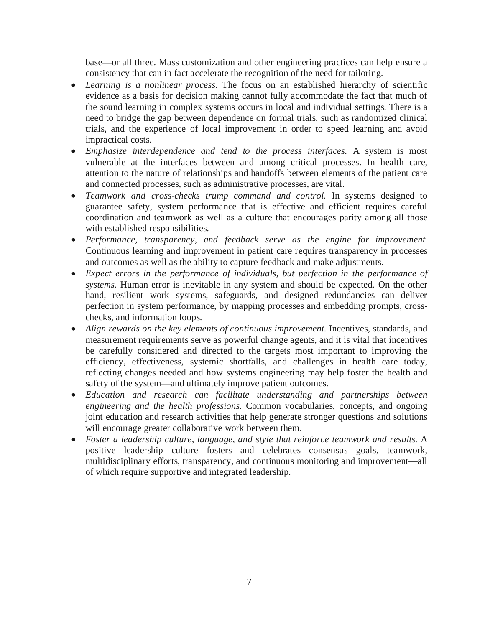base—or all three. Mass customization and other engineering practices can help ensure a consistency that can in fact accelerate the recognition of the need for tailoring.

- *Learning is a nonlinear process.* The focus on an established hierarchy of scientific evidence as a basis for decision making cannot fully accommodate the fact that much of the sound learning in complex systems occurs in local and individual settings. There is a need to bridge the gap between dependence on formal trials, such as randomized clinical trials, and the experience of local improvement in order to speed learning and avoid impractical costs.
- *Emphasize interdependence and tend to the process interfaces.* A system is most vulnerable at the interfaces between and among critical processes. In health care, attention to the nature of relationships and handoffs between elements of the patient care and connected processes, such as administrative processes, are vital.
- *Teamwork and cross-checks trump command and control.* In systems designed to guarantee safety, system performance that is effective and efficient requires careful coordination and teamwork as well as a culture that encourages parity among all those with established responsibilities.
- *Performance, transparency, and feedback serve as the engine for improvement.*  Continuous learning and improvement in patient care requires transparency in processes and outcomes as well as the ability to capture feedback and make adjustments.
- *Expect errors in the performance of individuals, but perfection in the performance of systems.* Human error is inevitable in any system and should be expected. On the other hand, resilient work systems, safeguards, and designed redundancies can deliver perfection in system performance, by mapping processes and embedding prompts, crosschecks, and information loops.
- Align rewards on the key elements of continuous improvement. Incentives, standards, and measurement requirements serve as powerful change agents, and it is vital that incentives be carefully considered and directed to the targets most important to improving the efficiency, effectiveness, systemic shortfalls, and challenges in health care today, reflecting changes needed and how systems engineering may help foster the health and safety of the system—and ultimately improve patient outcomes.
- *Education and research can facilitate understanding and partnerships between engineering and the health professions.* Common vocabularies, concepts, and ongoing joint education and research activities that help generate stronger questions and solutions will encourage greater collaborative work between them.
- *Foster a leadership culture, language, and style that reinforce teamwork and results.* A positive leadership culture fosters and celebrates consensus goals, teamwork, multidisciplinary efforts, transparency, and continuous monitoring and improvement—all of which require supportive and integrated leadership.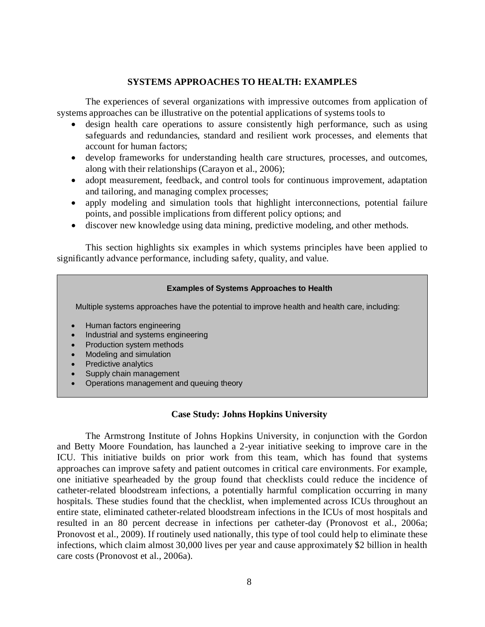## **SYSTEMS APPROACHES TO HEALTH: EXAMPLES**

The experiences of several organizations with impressive outcomes from application of systems approaches can be illustrative on the potential applications of systems tools to

- design health care operations to assure consistently high performance, such as using safeguards and redundancies, standard and resilient work processes, and elements that account for human factors;
- develop frameworks for understanding health care structures, processes, and outcomes, along with their relationships (Carayon et al., 2006);
- adopt measurement, feedback, and control tools for continuous improvement, adaptation and tailoring, and managing complex processes;
- apply modeling and simulation tools that highlight interconnections, potential failure points, and possible implications from different policy options; and
- discover new knowledge using data mining, predictive modeling, and other methods.

This section highlights six examples in which systems principles have been applied to significantly advance performance, including safety, quality, and value.

#### **Examples of Systems Approaches to Health**

Multiple systems approaches have the potential to improve health and health care, including:

- Human factors engineering
- Industrial and systems engineering
- Production system methods
- Modeling and simulation
- **Predictive analytics**
- Supply chain management
- Operations management and queuing theory

# **Case Study: Johns Hopkins University**

The Armstrong Institute of Johns Hopkins University, in conjunction with the Gordon and Betty Moore Foundation, has launched a 2-year initiative seeking to improve care in the ICU. This initiative builds on prior work from this team, which has found that systems approaches can improve safety and patient outcomes in critical care environments. For example, one initiative spearheaded by the group found that checklists could reduce the incidence of catheter-related bloodstream infections, a potentially harmful complication occurring in many hospitals. These studies found that the checklist, when implemented across ICUs throughout an entire state, eliminated catheter-related bloodstream infections in the ICUs of most hospitals and resulted in an 80 percent decrease in infections per catheter-day (Pronovost et al., 2006a; Pronovost et al., 2009). If routinely used nationally, this type of tool could help to eliminate these infections, which claim almost 30,000 lives per year and cause approximately \$2 billion in health care costs (Pronovost et al., 2006a).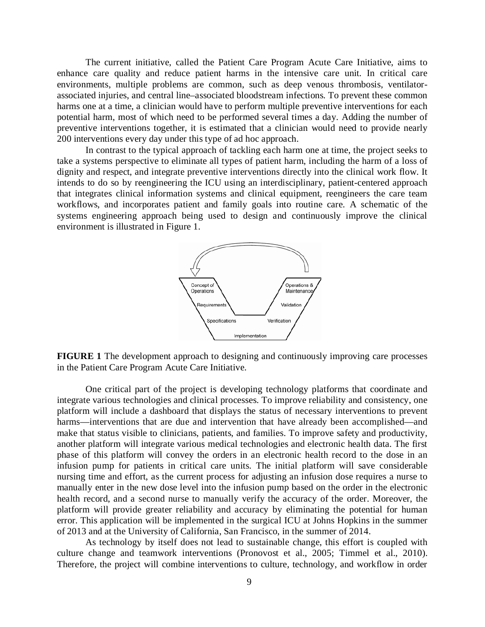The current initiative, called the Patient Care Program Acute Care Initiative, aims to enhance care quality and reduce patient harms in the intensive care unit. In critical care environments, multiple problems are common, such as deep venous thrombosis, ventilatorassociated injuries, and central line–associated bloodstream infections. To prevent these common harms one at a time, a clinician would have to perform multiple preventive interventions for each potential harm, most of which need to be performed several times a day. Adding the number of preventive interventions together, it is estimated that a clinician would need to provide nearly 200 interventions every day under this type of ad hoc approach.

In contrast to the typical approach of tackling each harm one at time, the project seeks to take a systems perspective to eliminate all types of patient harm, including the harm of a loss of dignity and respect, and integrate preventive interventions directly into the clinical work flow. It intends to do so by reengineering the ICU using an interdisciplinary, patient-centered approach that integrates clinical information systems and clinical equipment, reengineers the care team workflows, and incorporates patient and family goals into routine care. A schematic of the systems engineering approach being used to design and continuously improve the clinical environment is illustrated in Figure 1.



**FIGURE 1** The development approach to designing and continuously improving care processes in the Patient Care Program Acute Care Initiative.

One critical part of the project is developing technology platforms that coordinate and integrate various technologies and clinical processes. To improve reliability and consistency, one platform will include a dashboard that displays the status of necessary interventions to prevent harms—interventions that are due and intervention that have already been accomplished—and make that status visible to clinicians, patients, and families. To improve safety and productivity, another platform will integrate various medical technologies and electronic health data. The first phase of this platform will convey the orders in an electronic health record to the dose in an infusion pump for patients in critical care units. The initial platform will save considerable nursing time and effort, as the current process for adjusting an infusion dose requires a nurse to manually enter in the new dose level into the infusion pump based on the order in the electronic health record, and a second nurse to manually verify the accuracy of the order. Moreover, the platform will provide greater reliability and accuracy by eliminating the potential for human error. This application will be implemented in the surgical ICU at Johns Hopkins in the summer of 2013 and at the University of California, San Francisco, in the summer of 2014.

As technology by itself does not lead to sustainable change, this effort is coupled with culture change and teamwork interventions (Pronovost et al., 2005; Timmel et al., 2010). Therefore, the project will combine interventions to culture, technology, and workflow in order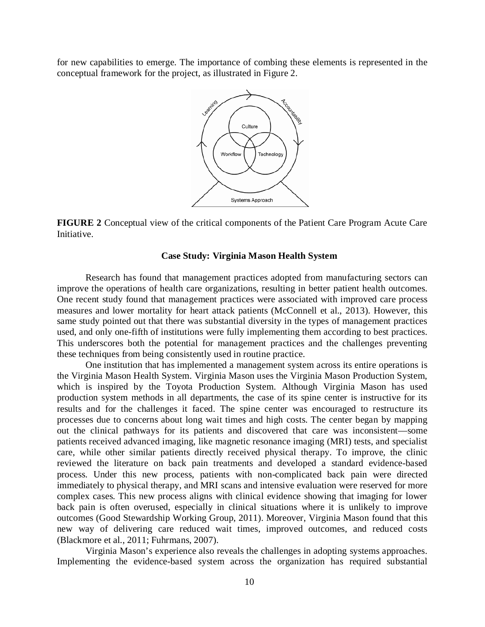for new capabilities to emerge. The importance of combing these elements is represented in the conceptual framework for the project, as illustrated in Figure 2.



**FIGURE 2** Conceptual view of the critical components of the Patient Care Program Acute Care Initiative.

#### **Case Study: Virginia Mason Health System**

Research has found that management practices adopted from manufacturing sectors can improve the operations of health care organizations, resulting in better patient health outcomes. One recent study found that management practices were associated with improved care process measures and lower mortality for heart attack patients (McConnell et al., 2013). However, this same study pointed out that there was substantial diversity in the types of management practices used, and only one-fifth of institutions were fully implementing them according to best practices. This underscores both the potential for management practices and the challenges preventing these techniques from being consistently used in routine practice.

One institution that has implemented a management system across its entire operations is the Virginia Mason Health System. Virginia Mason uses the Virginia Mason Production System, which is inspired by the Toyota Production System. Although Virginia Mason has used production system methods in all departments, the case of its spine center is instructive for its results and for the challenges it faced. The spine center was encouraged to restructure its processes due to concerns about long wait times and high costs. The center began by mapping out the clinical pathways for its patients and discovered that care was inconsistent—some patients received advanced imaging, like magnetic resonance imaging (MRI) tests, and specialist care, while other similar patients directly received physical therapy. To improve, the clinic reviewed the literature on back pain treatments and developed a standard evidence-based process. Under this new process, patients with non-complicated back pain were directed immediately to physical therapy, and MRI scans and intensive evaluation were reserved for more complex cases. This new process aligns with clinical evidence showing that imaging for lower back pain is often overused, especially in clinical situations where it is unlikely to improve outcomes (Good Stewardship Working Group, 2011). Moreover, Virginia Mason found that this new way of delivering care reduced wait times, improved outcomes, and reduced costs (Blackmore et al., 2011; Fuhrmans, 2007).

Virginia Mason's experience also reveals the challenges in adopting systems approaches. Implementing the evidence-based system across the organization has required substantial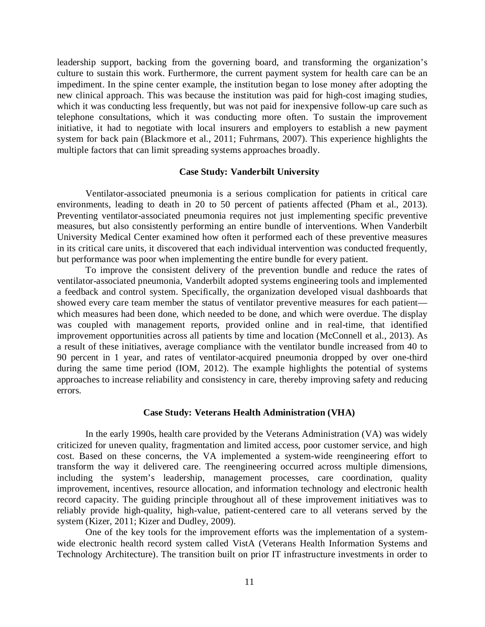leadership support, backing from the governing board, and transforming the organization's culture to sustain this work. Furthermore, the current payment system for health care can be an impediment. In the spine center example, the institution began to lose money after adopting the new clinical approach. This was because the institution was paid for high-cost imaging studies, which it was conducting less frequently, but was not paid for inexpensive follow-up care such as telephone consultations, which it was conducting more often. To sustain the improvement initiative, it had to negotiate with local insurers and employers to establish a new payment system for back pain (Blackmore et al., 2011; Fuhrmans, 2007). This experience highlights the multiple factors that can limit spreading systems approaches broadly.

#### **Case Study: Vanderbilt University**

Ventilator-associated pneumonia is a serious complication for patients in critical care environments, leading to death in 20 to 50 percent of patients affected (Pham et al., 2013). Preventing ventilator-associated pneumonia requires not just implementing specific preventive measures, but also consistently performing an entire bundle of interventions. When Vanderbilt University Medical Center examined how often it performed each of these preventive measures in its critical care units, it discovered that each individual intervention was conducted frequently, but performance was poor when implementing the entire bundle for every patient.

To improve the consistent delivery of the prevention bundle and reduce the rates of ventilator-associated pneumonia, Vanderbilt adopted systems engineering tools and implemented a feedback and control system. Specifically, the organization developed visual dashboards that showed every care team member the status of ventilator preventive measures for each patient which measures had been done, which needed to be done, and which were overdue. The display was coupled with management reports, provided online and in real-time, that identified improvement opportunities across all patients by time and location (McConnell et al., 2013). As a result of these initiatives, average compliance with the ventilator bundle increased from 40 to 90 percent in 1 year, and rates of ventilator-acquired pneumonia dropped by over one-third during the same time period (IOM, 2012). The example highlights the potential of systems approaches to increase reliability and consistency in care, thereby improving safety and reducing errors.

#### **Case Study: Veterans Health Administration (VHA)**

In the early 1990s, health care provided by the Veterans Administration (VA) was widely criticized for uneven quality, fragmentation and limited access, poor customer service, and high cost. Based on these concerns, the VA implemented a system-wide reengineering effort to transform the way it delivered care. The reengineering occurred across multiple dimensions, including the system's leadership, management processes, care coordination, quality improvement, incentives, resource allocation, and information technology and electronic health record capacity. The guiding principle throughout all of these improvement initiatives was to reliably provide high-quality, high-value, patient-centered care to all veterans served by the system (Kizer, 2011; Kizer and Dudley, 2009).

One of the key tools for the improvement efforts was the implementation of a systemwide electronic health record system called VistA (Veterans Health Information Systems and Technology Architecture). The transition built on prior IT infrastructure investments in order to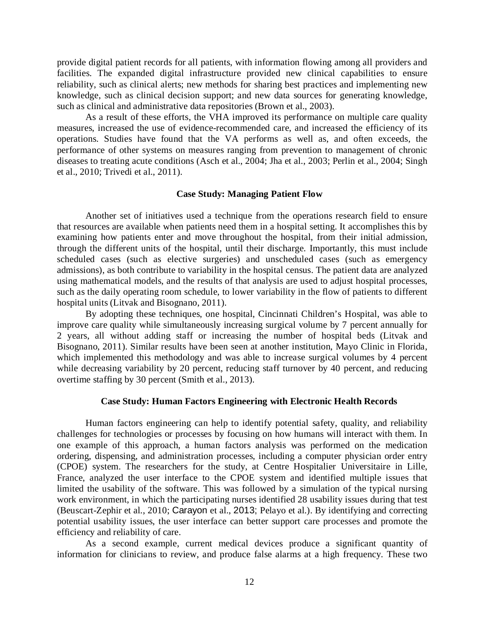provide digital patient records for all patients, with information flowing among all providers and facilities. The expanded digital infrastructure provided new clinical capabilities to ensure reliability, such as clinical alerts; new methods for sharing best practices and implementing new knowledge, such as clinical decision support; and new data sources for generating knowledge, such as clinical and administrative data repositories (Brown et al., 2003).

As a result of these efforts, the VHA improved its performance on multiple care quality measures, increased the use of evidence-recommended care, and increased the efficiency of its operations. Studies have found that the VA performs as well as, and often exceeds, the performance of other systems on measures ranging from prevention to management of chronic diseases to treating acute conditions (Asch et al., 2004; Jha et al., 2003; Perlin et al., 2004; Singh et al., 2010; Trivedi et al., 2011).

#### **Case Study: Managing Patient Flow**

Another set of initiatives used a technique from the operations research field to ensure that resources are available when patients need them in a hospital setting. It accomplishes this by examining how patients enter and move throughout the hospital, from their initial admission, through the different units of the hospital, until their discharge. Importantly, this must include scheduled cases (such as elective surgeries) and unscheduled cases (such as emergency admissions), as both contribute to variability in the hospital census. The patient data are analyzed using mathematical models, and the results of that analysis are used to adjust hospital processes, such as the daily operating room schedule, to lower variability in the flow of patients to different hospital units (Litvak and Bisognano, 2011).

By adopting these techniques, one hospital, Cincinnati Children's Hospital, was able to improve care quality while simultaneously increasing surgical volume by 7 percent annually for 2 years, all without adding staff or increasing the number of hospital beds (Litvak and Bisognano, 2011). Similar results have been seen at another institution, Mayo Clinic in Florida, which implemented this methodology and was able to increase surgical volumes by 4 percent while decreasing variability by 20 percent, reducing staff turnover by 40 percent, and reducing overtime staffing by 30 percent (Smith et al., 2013).

#### **Case Study: Human Factors Engineering with Electronic Health Records**

Human factors engineering can help to identify potential safety, quality, and reliability challenges for technologies or processes by focusing on how humans will interact with them. In one example of this approach, a human factors analysis was performed on the medication ordering, dispensing, and administration processes, including a computer physician order entry (CPOE) system. The researchers for the study, at Centre Hospitalier Universitaire in Lille, France, analyzed the user interface to the CPOE system and identified multiple issues that limited the usability of the software. This was followed by a simulation of the typical nursing work environment, in which the participating nurses identified 28 usability issues during that test (Beuscart-Zephir et al., 2010; Carayon et al., 2013; Pelayo et al.). By identifying and correcting potential usability issues, the user interface can better support care processes and promote the efficiency and reliability of care.

As a second example, current medical devices produce a significant quantity of information for clinicians to review, and produce false alarms at a high frequency. These two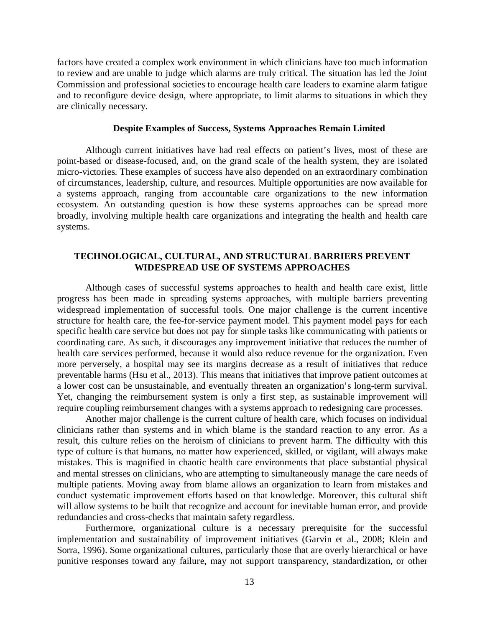factors have created a complex work environment in which clinicians have too much information to review and are unable to judge which alarms are truly critical. The situation has led the Joint Commission and professional societies to encourage health care leaders to examine alarm fatigue and to reconfigure device design, where appropriate, to limit alarms to situations in which they are clinically necessary.

#### **Despite Examples of Success, Systems Approaches Remain Limited**

Although current initiatives have had real effects on patient's lives, most of these are point-based or disease-focused, and, on the grand scale of the health system, they are isolated micro-victories. These examples of success have also depended on an extraordinary combination of circumstances, leadership, culture, and resources. Multiple opportunities are now available for a systems approach, ranging from accountable care organizations to the new information ecosystem. An outstanding question is how these systems approaches can be spread more broadly, involving multiple health care organizations and integrating the health and health care systems.

# **TECHNOLOGICAL, CULTURAL, AND STRUCTURAL BARRIERS PREVENT WIDESPREAD USE OF SYSTEMS APPROACHES**

Although cases of successful systems approaches to health and health care exist, little progress has been made in spreading systems approaches, with multiple barriers preventing widespread implementation of successful tools. One major challenge is the current incentive structure for health care, the fee-for-service payment model. This payment model pays for each specific health care service but does not pay for simple tasks like communicating with patients or coordinating care. As such, it discourages any improvement initiative that reduces the number of health care services performed, because it would also reduce revenue for the organization. Even more perversely, a hospital may see its margins decrease as a result of initiatives that reduce preventable harms (Hsu et al., 2013). This means that initiatives that improve patient outcomes at a lower cost can be unsustainable, and eventually threaten an organization's long-term survival. Yet, changing the reimbursement system is only a first step, as sustainable improvement will require coupling reimbursement changes with a systems approach to redesigning care processes.

Another major challenge is the current culture of health care, which focuses on individual clinicians rather than systems and in which blame is the standard reaction to any error. As a result, this culture relies on the heroism of clinicians to prevent harm. The difficulty with this type of culture is that humans, no matter how experienced, skilled, or vigilant, will always make mistakes. This is magnified in chaotic health care environments that place substantial physical and mental stresses on clinicians, who are attempting to simultaneously manage the care needs of multiple patients. Moving away from blame allows an organization to learn from mistakes and conduct systematic improvement efforts based on that knowledge. Moreover, this cultural shift will allow systems to be built that recognize and account for inevitable human error, and provide redundancies and cross-checks that maintain safety regardless.

Furthermore, organizational culture is a necessary prerequisite for the successful implementation and sustainability of improvement initiatives (Garvin et al., 2008; Klein and Sorra, 1996). Some organizational cultures, particularly those that are overly hierarchical or have punitive responses toward any failure, may not support transparency, standardization, or other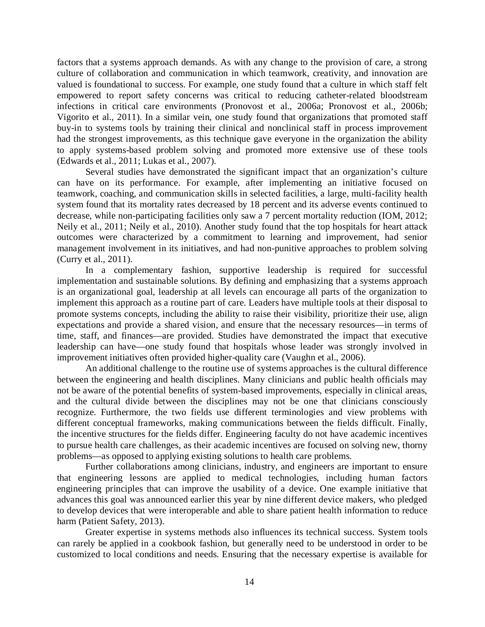factors that a systems approach demands. As with any change to the provision of care, a strong culture of collaboration and communication in which teamwork, creativity, and innovation are valued is foundational to success. For example, one study found that a culture in which staff felt empowered to report safety concerns was critical to reducing catheter-related bloodstream infections in critical care environments (Pronovost et al., 2006a; Pronovost et al., 2006b; Vigorito et al., 2011). In a similar vein, one study found that organizations that promoted staff buy-in to systems tools by training their clinical and nonclinical staff in process improvement had the strongest improvements, as this technique gave everyone in the organization the ability to apply systems-based problem solving and promoted more extensive use of these tools (Edwards et al., 2011; Lukas et al., 2007)*.*

Several studies have demonstrated the significant impact that an organization's culture can have on its performance. For example, after implementing an initiative focused on teamwork, coaching, and communication skills in selected facilities, a large, multi-facility health system found that its mortality rates decreased by 18 percent and its adverse events continued to decrease, while non-participating facilities only saw a 7 percent mortality reduction (IOM, 2012; Neily et al., 2011; Neily et al., 2010). Another study found that the top hospitals for heart attack outcomes were characterized by a commitment to learning and improvement, had senior management involvement in its initiatives, and had non-punitive approaches to problem solving (Curry et al., 2011).

In a complementary fashion, supportive leadership is required for successful implementation and sustainable solutions. By defining and emphasizing that a systems approach is an organizational goal, leadership at all levels can encourage all parts of the organization to implement this approach as a routine part of care. Leaders have multiple tools at their disposal to promote systems concepts, including the ability to raise their visibility, prioritize their use, align expectations and provide a shared vision, and ensure that the necessary resources—in terms of time, staff, and finances—are provided. Studies have demonstrated the impact that executive leadership can have—one study found that hospitals whose leader was strongly involved in improvement initiatives often provided higher-quality care (Vaughn et al., 2006).

An additional challenge to the routine use of systems approaches is the cultural difference between the engineering and health disciplines. Many clinicians and public health officials may not be aware of the potential benefits of system-based improvements, especially in clinical areas, and the cultural divide between the disciplines may not be one that clinicians consciously recognize. Furthermore, the two fields use different terminologies and view problems with different conceptual frameworks, making communications between the fields difficult. Finally, the incentive structures for the fields differ. Engineering faculty do not have academic incentives to pursue health care challenges, as their academic incentives are focused on solving new, thorny problems—as opposed to applying existing solutions to health care problems.

Further collaborations among clinicians, industry, and engineers are important to ensure that engineering lessons are applied to medical technologies, including human factors engineering principles that can improve the usability of a device. One example initiative that advances this goal was announced earlier this year by nine different device makers, who pledged to develop devices that were interoperable and able to share patient health information to reduce harm (Patient Safety, 2013).

Greater expertise in systems methods also influences its technical success. System tools can rarely be applied in a cookbook fashion, but generally need to be understood in order to be customized to local conditions and needs. Ensuring that the necessary expertise is available for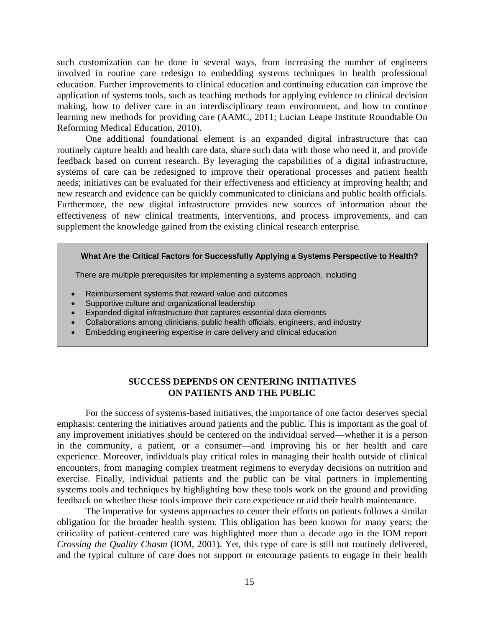such customization can be done in several ways, from increasing the number of engineers involved in routine care redesign to embedding systems techniques in health professional education. Further improvements to clinical education and continuing education can improve the application of systems tools, such as teaching methods for applying evidence to clinical decision making, how to deliver care in an interdisciplinary team environment, and how to continue learning new methods for providing care (AAMC, 2011; Lucian Leape Institute Roundtable On Reforming Medical Education, 2010).

One additional foundational element is an expanded digital infrastructure that can routinely capture health and health care data, share such data with those who need it, and provide feedback based on current research. By leveraging the capabilities of a digital infrastructure, systems of care can be redesigned to improve their operational processes and patient health needs; initiatives can be evaluated for their effectiveness and efficiency at improving health; and new research and evidence can be quickly communicated to clinicians and public health officials. Furthermore, the new digital infrastructure provides new sources of information about the effectiveness of new clinical treatments, interventions, and process improvements, and can supplement the knowledge gained from the existing clinical research enterprise.

#### **What Are the Critical Factors for Successfully Applying a Systems Perspective to Health?**

There are multiple prerequisites for implementing a systems approach, including

- Reimbursement systems that reward value and outcomes
- Supportive culture and organizational leadership
- Expanded digital infrastructure that captures essential data elements
- Collaborations among clinicians, public health officials, engineers, and industry
- Embedding engineering expertise in care delivery and clinical education

## **SUCCESS DEPENDS ON CENTERING INITIATIVES ON PATIENTS AND THE PUBLIC**

For the success of systems-based initiatives, the importance of one factor deserves special emphasis: centering the initiatives around patients and the public. This is important as the goal of any improvement initiatives should be centered on the individual served—whether it is a person in the community, a patient, or a consumer—and improving his or her health and care experience. Moreover, individuals play critical roles in managing their health outside of clinical encounters, from managing complex treatment regimens to everyday decisions on nutrition and exercise. Finally, individual patients and the public can be vital partners in implementing systems tools and techniques by highlighting how these tools work on the ground and providing feedback on whether these tools improve their care experience or aid their health maintenance.

The imperative for systems approaches to center their efforts on patients follows a similar obligation for the broader health system. This obligation has been known for many years; the criticality of patient-centered care was highlighted more than a decade ago in the IOM report *Crossing the Quality Chasm* (IOM, 2001). Yet, this type of care is still not routinely delivered, and the typical culture of care does not support or encourage patients to engage in their health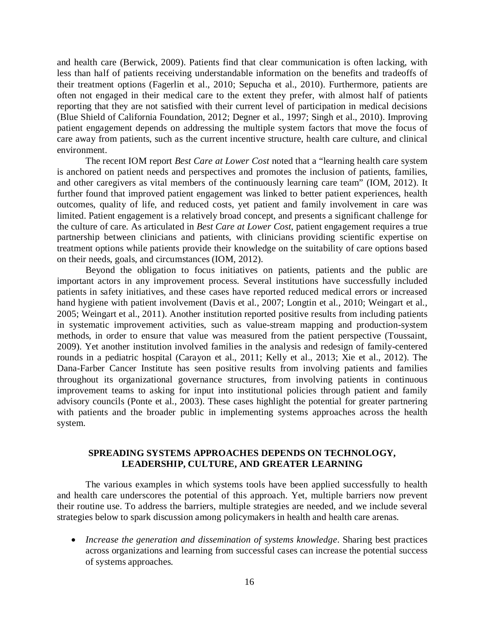and health care (Berwick, 2009). Patients find that clear communication is often lacking, with less than half of patients receiving understandable information on the benefits and tradeoffs of their treatment options (Fagerlin et al., 2010; Sepucha et al., 2010). Furthermore, patients are often not engaged in their medical care to the extent they prefer, with almost half of patients reporting that they are not satisfied with their current level of participation in medical decisions (Blue Shield of California Foundation, 2012; Degner et al., 1997; Singh et al., 2010). Improving patient engagement depends on addressing the multiple system factors that move the focus of care away from patients, such as the current incentive structure, health care culture, and clinical environment.

The recent IOM report *Best Care at Lower Cost* noted that a "learning health care system is anchored on patient needs and perspectives and promotes the inclusion of patients, families, and other caregivers as vital members of the continuously learning care team" (IOM, 2012). It further found that improved patient engagement was linked to better patient experiences, health outcomes, quality of life, and reduced costs, yet patient and family involvement in care was limited. Patient engagement is a relatively broad concept, and presents a significant challenge for the culture of care. As articulated in *Best Care at Lower Cost*, patient engagement requires a true partnership between clinicians and patients, with clinicians providing scientific expertise on treatment options while patients provide their knowledge on the suitability of care options based on their needs, goals, and circumstances (IOM, 2012).

Beyond the obligation to focus initiatives on patients, patients and the public are important actors in any improvement process. Several institutions have successfully included patients in safety initiatives, and these cases have reported reduced medical errors or increased hand hygiene with patient involvement (Davis et al., 2007; Longtin et al., 2010; Weingart et al., 2005; Weingart et al., 2011). Another institution reported positive results from including patients in systematic improvement activities, such as value-stream mapping and production-system methods, in order to ensure that value was measured from the patient perspective (Toussaint, 2009). Yet another institution involved families in the analysis and redesign of family-centered rounds in a pediatric hospital (Carayon et al., 2011; Kelly et al., 2013; Xie et al., 2012). The Dana-Farber Cancer Institute has seen positive results from involving patients and families throughout its organizational governance structures, from involving patients in continuous improvement teams to asking for input into institutional policies through patient and family advisory councils (Ponte et al., 2003). These cases highlight the potential for greater partnering with patients and the broader public in implementing systems approaches across the health system.

# **SPREADING SYSTEMS APPROACHES DEPENDS ON TECHNOLOGY, LEADERSHIP, CULTURE, AND GREATER LEARNING**

The various examples in which systems tools have been applied successfully to health and health care underscores the potential of this approach. Yet, multiple barriers now prevent their routine use. To address the barriers, multiple strategies are needed, and we include several strategies below to spark discussion among policymakers in health and health care arenas.

• *Increase the generation and dissemination of systems knowledge*. Sharing best practices across organizations and learning from successful cases can increase the potential success of systems approaches.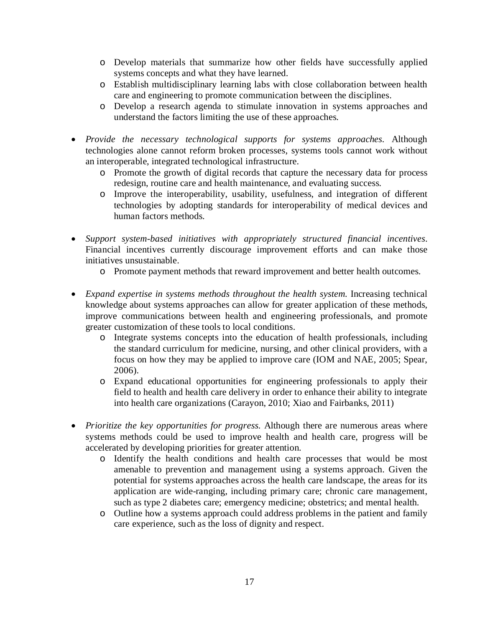- o Develop materials that summarize how other fields have successfully applied systems concepts and what they have learned.
- o Establish multidisciplinary learning labs with close collaboration between health care and engineering to promote communication between the disciplines.
- o Develop a research agenda to stimulate innovation in systems approaches and understand the factors limiting the use of these approaches.
- *Provide the necessary technological supports for systems approaches.* Although technologies alone cannot reform broken processes, systems tools cannot work without an interoperable, integrated technological infrastructure.
	- o Promote the growth of digital records that capture the necessary data for process redesign, routine care and health maintenance, and evaluating success.
	- o Improve the interoperability, usability, usefulness, and integration of different technologies by adopting standards for interoperability of medical devices and human factors methods.
- *Support system-based initiatives with appropriately structured financial incentives*. Financial incentives currently discourage improvement efforts and can make those initiatives unsustainable.
	- o Promote payment methods that reward improvement and better health outcomes.
- *Expand expertise in systems methods throughout the health system.* Increasing technical knowledge about systems approaches can allow for greater application of these methods, improve communications between health and engineering professionals, and promote greater customization of these tools to local conditions.
	- o Integrate systems concepts into the education of health professionals, including the standard curriculum for medicine, nursing, and other clinical providers, with a focus on how they may be applied to improve care (IOM and NAE, 2005; Spear, 2006).
	- o Expand educational opportunities for engineering professionals to apply their field to health and health care delivery in order to enhance their ability to integrate into health care organizations (Carayon, 2010; Xiao and Fairbanks, 2011)
- *Prioritize the key opportunities for progress.* Although there are numerous areas where systems methods could be used to improve health and health care, progress will be accelerated by developing priorities for greater attention.
	- o Identify the health conditions and health care processes that would be most amenable to prevention and management using a systems approach. Given the potential for systems approaches across the health care landscape, the areas for its application are wide-ranging, including primary care; chronic care management, such as type 2 diabetes care; emergency medicine; obstetrics; and mental health.
	- o Outline how a systems approach could address problems in the patient and family care experience, such as the loss of dignity and respect.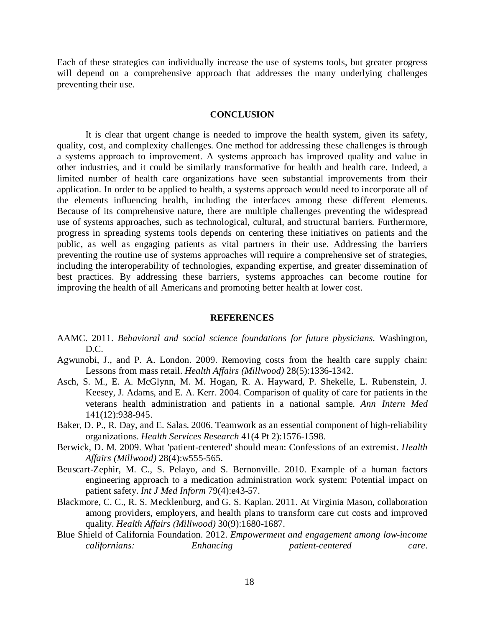Each of these strategies can individually increase the use of systems tools, but greater progress will depend on a comprehensive approach that addresses the many underlying challenges preventing their use.

#### **CONCLUSION**

It is clear that urgent change is needed to improve the health system, given its safety, quality, cost, and complexity challenges. One method for addressing these challenges is through a systems approach to improvement. A systems approach has improved quality and value in other industries, and it could be similarly transformative for health and health care. Indeed, a limited number of health care organizations have seen substantial improvements from their application. In order to be applied to health, a systems approach would need to incorporate all of the elements influencing health, including the interfaces among these different elements. Because of its comprehensive nature, there are multiple challenges preventing the widespread use of systems approaches, such as technological, cultural, and structural barriers. Furthermore, progress in spreading systems tools depends on centering these initiatives on patients and the public, as well as engaging patients as vital partners in their use. Addressing the barriers preventing the routine use of systems approaches will require a comprehensive set of strategies, including the interoperability of technologies, expanding expertise, and greater dissemination of best practices. By addressing these barriers, systems approaches can become routine for improving the health of all Americans and promoting better health at lower cost.

#### **REFERENCES**

- AAMC. 2011. *Behavioral and social science foundations for future physicians.* Washington, D.C.
- Agwunobi, J., and P. A. London. 2009. Removing costs from the health care supply chain: Lessons from mass retail. *Health Affairs (Millwood)* 28(5):1336-1342.
- Asch, S. M., E. A. McGlynn, M. M. Hogan, R. A. Hayward, P. Shekelle, L. Rubenstein, J. Keesey, J. Adams, and E. A. Kerr. 2004. Comparison of quality of care for patients in the veterans health administration and patients in a national sample. *Ann Intern Med* 141(12):938-945.
- Baker, D. P., R. Day, and E. Salas. 2006. Teamwork as an essential component of high-reliability organizations. *Health Services Research* 41(4 Pt 2):1576-1598.
- Berwick, D. M. 2009. What 'patient-centered' should mean: Confessions of an extremist. *Health Affairs (Millwood)* 28(4):w555-565.
- Beuscart-Zephir, M. C., S. Pelayo, and S. Bernonville. 2010. Example of a human factors engineering approach to a medication administration work system: Potential impact on patient safety. *Int J Med Inform* 79(4):e43-57.
- Blackmore, C. C., R. S. Mecklenburg, and G. S. Kaplan. 2011. At Virginia Mason, collaboration among providers, employers, and health plans to transform care cut costs and improved quality. *Health Affairs (Millwood)* 30(9):1680-1687.
- Blue Shield of California Foundation. 2012. *Empowerment and engagement among low-income californians: Enhancing patient-centered care*.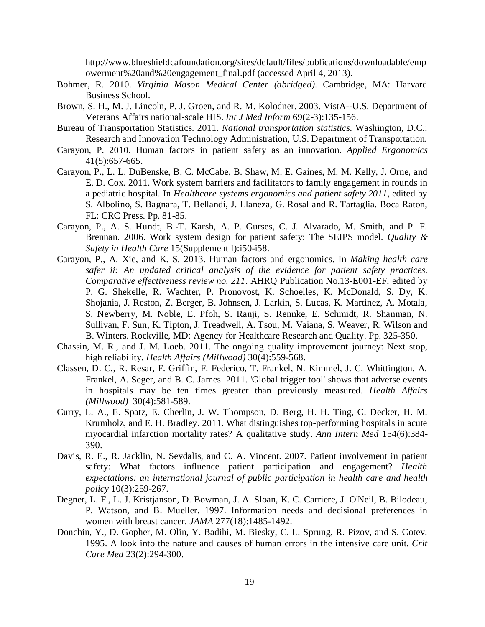http://www.blueshieldcafoundation.org/sites/default/files/publications/downloadable/emp owerment%20and%20engagement\_final.pdf (accessed April 4, 2013).

- Bohmer, R. 2010. *Virginia Mason Medical Center (abridged).* Cambridge, MA: Harvard Business School.
- Brown, S. H., M. J. Lincoln, P. J. Groen, and R. M. Kolodner. 2003. VistA--U.S. Department of Veterans Affairs national-scale HIS. *Int J Med Inform* 69(2-3):135-156.
- Bureau of Transportation Statistics. 2011. *National transportation statistics.* Washington, D.C.: Research and Innovation Technology Administration, U.S. Department of Transportation.
- Carayon, P. 2010. Human factors in patient safety as an innovation. *Applied Ergonomics* 41(5):657-665.
- Carayon, P., L. L. DuBenske, B. C. McCabe, B. Shaw, M. E. Gaines, M. M. Kelly, J. Orne, and E. D. Cox. 2011. Work system barriers and facilitators to family engagement in rounds in a pediatric hospital. In *Healthcare systems ergonomics and patient safety 2011*, edited by S. Albolino, S. Bagnara, T. Bellandi, J. Llaneza, G. Rosal and R. Tartaglia. Boca Raton, FL: CRC Press. Pp. 81-85.
- Carayon, P., A. S. Hundt, B.-T. Karsh, A. P. Gurses, C. J. Alvarado, M. Smith, and P. F. Brennan. 2006. Work system design for patient safety: The SEIPS model. *Quality & Safety in Health Care* 15(Supplement I):i50-i58.
- Carayon, P., A. Xie, and K. S. 2013. Human factors and ergonomics. In *Making health care safer ii: An updated critical analysis of the evidence for patient safety practices. Comparative effectiveness review no. 211*. AHRQ Publication No.13-E001-EF, edited by P. G. Shekelle, R. Wachter, P. Pronovost, K. Schoelles, K. McDonald, S. Dy, K. Shojania, J. Reston, Z. Berger, B. Johnsen, J. Larkin, S. Lucas, K. Martinez, A. Motala, S. Newberry, M. Noble, E. Pfoh, S. Ranji, S. Rennke, E. Schmidt, R. Shanman, N. Sullivan, F. Sun, K. Tipton, J. Treadwell, A. Tsou, M. Vaiana, S. Weaver, R. Wilson and B. Winters. Rockville, MD: Agency for Healthcare Research and Quality. Pp. 325-350.
- Chassin, M. R., and J. M. Loeb. 2011. The ongoing quality improvement journey: Next stop, high reliability. *Health Affairs (Millwood)* 30(4):559-568.
- Classen, D. C., R. Resar, F. Griffin, F. Federico, T. Frankel, N. Kimmel, J. C. Whittington, A. Frankel, A. Seger, and B. C. James. 2011. 'Global trigger tool' shows that adverse events in hospitals may be ten times greater than previously measured. *Health Affairs (Millwood)* 30(4):581-589.
- Curry, L. A., E. Spatz, E. Cherlin, J. W. Thompson, D. Berg, H. H. Ting, C. Decker, H. M. Krumholz, and E. H. Bradley. 2011. What distinguishes top-performing hospitals in acute myocardial infarction mortality rates? A qualitative study. *Ann Intern Med* 154(6):384- 390.
- Davis, R. E., R. Jacklin, N. Sevdalis, and C. A. Vincent. 2007. Patient involvement in patient safety: What factors influence patient participation and engagement? *Health expectations: an international journal of public participation in health care and health policy* 10(3):259-267.
- Degner, L. F., L. J. Kristjanson, D. Bowman, J. A. Sloan, K. C. Carriere, J. O'Neil, B. Bilodeau, P. Watson, and B. Mueller. 1997. Information needs and decisional preferences in women with breast cancer. *JAMA* 277(18):1485-1492.
- Donchin, Y., D. Gopher, M. Olin, Y. Badihi, M. Biesky, C. L. Sprung, R. Pizov, and S. Cotev. 1995. A look into the nature and causes of human errors in the intensive care unit. *Crit Care Med* 23(2):294-300.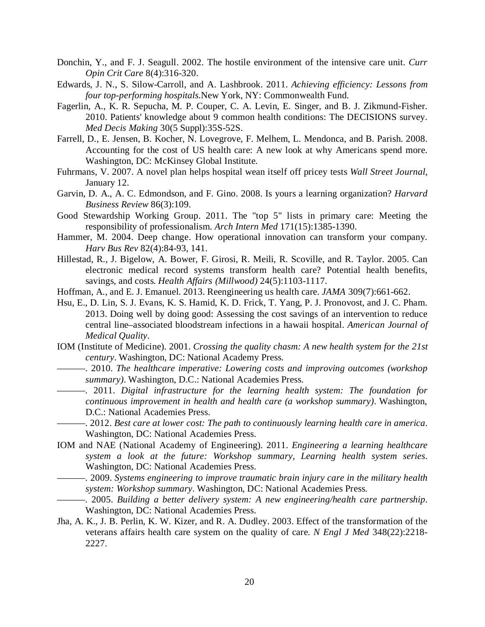- Donchin, Y., and F. J. Seagull. 2002. The hostile environment of the intensive care unit. *Curr Opin Crit Care* 8(4):316-320.
- Edwards, J. N., S. Silow-Carroll, and A. Lashbrook. 2011. *Achieving efficiency: Lessons from four top-performing hospitals.*New York, NY: Commonwealth Fund.
- Fagerlin, A., K. R. Sepucha, M. P. Couper, C. A. Levin, E. Singer, and B. J. Zikmund-Fisher. 2010. Patients' knowledge about 9 common health conditions: The DECISIONS survey. *Med Decis Making* 30(5 Suppl):35S-52S.
- Farrell, D., E. Jensen, B. Kocher, N. Lovegrove, F. Melhem, L. Mendonca, and B. Parish. 2008. Accounting for the cost of US health care: A new look at why Americans spend more. Washington, DC: McKinsey Global Institute.
- Fuhrmans, V. 2007. A novel plan helps hospital wean itself off pricey tests *Wall Street Journal*, January 12.
- Garvin, D. A., A. C. Edmondson, and F. Gino. 2008. Is yours a learning organization? *Harvard Business Review* 86(3):109.
- Good Stewardship Working Group. 2011. The "top 5" lists in primary care: Meeting the responsibility of professionalism. *Arch Intern Med* 171(15):1385-1390.
- Hammer, M. 2004. Deep change. How operational innovation can transform your company. *Harv Bus Rev* 82(4):84-93, 141.
- Hillestad, R., J. Bigelow, A. Bower, F. Girosi, R. Meili, R. Scoville, and R. Taylor. 2005. Can electronic medical record systems transform health care? Potential health benefits, savings, and costs. *Health Affairs (Millwood)* 24(5):1103-1117.
- Hoffman, A., and E. J. Emanuel. 2013. Reengineering us health care. *JAMA* 309(7):661-662.
- Hsu, E., D. Lin, S. J. Evans, K. S. Hamid, K. D. Frick, T. Yang, P. J. Pronovost, and J. C. Pham. 2013. Doing well by doing good: Assessing the cost savings of an intervention to reduce central line–associated bloodstream infections in a hawaii hospital. *American Journal of Medical Quality*.
- IOM (Institute of Medicine). 2001. *Crossing the quality chasm: A new health system for the 21st century*. Washington, DC: National Academy Press.
- ———. 2010. *The healthcare imperative: Lowering costs and improving outcomes (workshop summary)*. Washington, D.C.: National Academies Press.
	- ———. 2011. *Digital infrastructure for the learning health system: The foundation for continuous improvement in health and health care (a workshop summary)*. Washington, D.C.: National Academies Press.
- ———. 2012. *Best care at lower cost: The path to continuously learning health care in america*. Washington, DC: National Academies Press.
- IOM and NAE (National Academy of Engineering). 2011. *Engineering a learning healthcare system a look at the future: Workshop summary*, *Learning health system series*. Washington, DC: National Academies Press.
	- ———. 2009. *Systems engineering to improve traumatic brain injury care in the military health system: Workshop summary*. Washington, DC: National Academies Press.
- ———. 2005. *Building a better delivery system: A new engineering/health care partnership*. Washington, DC: National Academies Press.
- Jha, A. K., J. B. Perlin, K. W. Kizer, and R. A. Dudley. 2003. Effect of the transformation of the veterans affairs health care system on the quality of care. *N Engl J Med* 348(22):2218- 2227.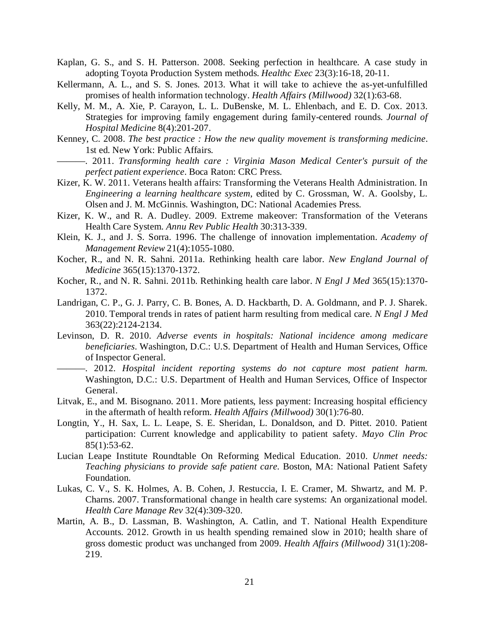- Kaplan, G. S., and S. H. Patterson. 2008. Seeking perfection in healthcare. A case study in adopting Toyota Production System methods. *Healthc Exec* 23(3):16-18, 20-11.
- Kellermann, A. L., and S. S. Jones. 2013. What it will take to achieve the as-yet-unfulfilled promises of health information technology. *Health Affairs (Millwood)* 32(1):63-68.
- Kelly, M. M., A. Xie, P. Carayon, L. L. DuBenske, M. L. Ehlenbach, and E. D. Cox. 2013. Strategies for improving family engagement during family-centered rounds. *Journal of Hospital Medicine* 8(4):201-207.
- Kenney, C. 2008. *The best practice : How the new quality movement is transforming medicine*. 1st ed. New York: Public Affairs.
	- ———. 2011. *Transforming health care : Virginia Mason Medical Center's pursuit of the perfect patient experience*. Boca Raton: CRC Press.
- Kizer, K. W. 2011. Veterans health affairs: Transforming the Veterans Health Administration. In *Engineering a learning healthcare system*, edited by C. Grossman, W. A. Goolsby, L. Olsen and J. M. McGinnis. Washington, DC: National Academies Press.
- Kizer, K. W., and R. A. Dudley. 2009. Extreme makeover: Transformation of the Veterans Health Care System. *Annu Rev Public Health* 30:313-339.
- Klein, K. J., and J. S. Sorra. 1996. The challenge of innovation implementation. *Academy of Management Review* 21(4):1055-1080.
- Kocher, R., and N. R. Sahni. 2011a. Rethinking health care labor. *New England Journal of Medicine* 365(15):1370-1372.
- Kocher, R., and N. R. Sahni. 2011b. Rethinking health care labor. *N Engl J Med* 365(15):1370- 1372.
- Landrigan, C. P., G. J. Parry, C. B. Bones, A. D. Hackbarth, D. A. Goldmann, and P. J. Sharek. 2010. Temporal trends in rates of patient harm resulting from medical care. *N Engl J Med* 363(22):2124-2134.
- Levinson, D. R. 2010. *Adverse events in hospitals: National incidence among medicare beneficiaries*. Washington, D.C.: U.S. Department of Health and Human Services, Office of Inspector General.
- ———. 2012. *Hospital incident reporting systems do not capture most patient harm.* Washington, D.C.: U.S. Department of Health and Human Services, Office of Inspector General.
- Litvak, E., and M. Bisognano. 2011. More patients, less payment: Increasing hospital efficiency in the aftermath of health reform. *Health Affairs (Millwood)* 30(1):76-80.
- Longtin, Y., H. Sax, L. L. Leape, S. E. Sheridan, L. Donaldson, and D. Pittet. 2010. Patient participation: Current knowledge and applicability to patient safety. *Mayo Clin Proc* 85(1):53-62.
- Lucian Leape Institute Roundtable On Reforming Medical Education. 2010. *Unmet needs: Teaching physicians to provide safe patient care.* Boston, MA: National Patient Safety Foundation.
- Lukas, C. V., S. K. Holmes, A. B. Cohen, J. Restuccia, I. E. Cramer, M. Shwartz, and M. P. Charns. 2007. Transformational change in health care systems: An organizational model. *Health Care Manage Rev* 32(4):309-320.
- Martin, A. B., D. Lassman, B. Washington, A. Catlin, and T. National Health Expenditure Accounts. 2012. Growth in us health spending remained slow in 2010; health share of gross domestic product was unchanged from 2009. *Health Affairs (Millwood)* 31(1):208- 219.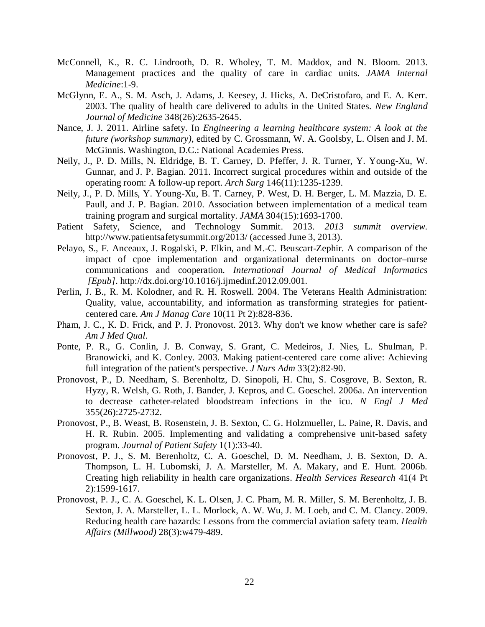- McConnell, K., R. C. Lindrooth, D. R. Wholey, T. M. Maddox, and N. Bloom. 2013. Management practices and the quality of care in cardiac units. *JAMA Internal Medicine*:1-9.
- McGlynn, E. A., S. M. Asch, J. Adams, J. Keesey, J. Hicks, A. DeCristofaro, and E. A. Kerr. 2003. The quality of health care delivered to adults in the United States. *New England Journal of Medicine* 348(26):2635-2645.
- Nance, J. J. 2011. Airline safety. In *Engineering a learning healthcare system: A look at the future (workshop summary)*, edited by C. Grossmann, W. A. Goolsby, L. Olsen and J. M. McGinnis. Washington, D.C.: National Academies Press.
- Neily, J., P. D. Mills, N. Eldridge, B. T. Carney, D. Pfeffer, J. R. Turner, Y. Young-Xu, W. Gunnar, and J. P. Bagian. 2011. Incorrect surgical procedures within and outside of the operating room: A follow-up report. *Arch Surg* 146(11):1235-1239.
- Neily, J., P. D. Mills, Y. Young-Xu, B. T. Carney, P. West, D. H. Berger, L. M. Mazzia, D. E. Paull, and J. P. Bagian. 2010. Association between implementation of a medical team training program and surgical mortality. *JAMA* 304(15):1693-1700.
- Patient Safety, Science, and Technology Summit. 2013. *2013 summit overview*. http://www.patientsafetysummit.org/2013/ (accessed June 3, 2013).
- Pelayo, S., F. Anceaux, J. Rogalski, P. Elkin, and M.-C. Beuscart-Zephir. A comparison of the impact of cpoe implementation and organizational determinants on doctor–nurse communications and cooperation. *International Journal of Medical Informatics [Epub].* <http://dx.doi.org/10.1016/j.ijmedinf.2012.09.001>*.*
- Perlin, J. B., R. M. Kolodner, and R. H. Roswell. 2004. The Veterans Health Administration: Quality, value, accountability, and information as transforming strategies for patientcentered care. *Am J Manag Care* 10(11 Pt 2):828-836.
- Pham, J. C., K. D. Frick, and P. J. Pronovost. 2013. Why don't we know whether care is safe? *Am J Med Qual*.
- Ponte, P. R., G. Conlin, J. B. Conway, S. Grant, C. Medeiros, J. Nies, L. Shulman, P. Branowicki, and K. Conley. 2003. Making patient-centered care come alive: Achieving full integration of the patient's perspective. *J Nurs Adm* 33(2):82-90.
- Pronovost, P., D. Needham, S. Berenholtz, D. Sinopoli, H. Chu, S. Cosgrove, B. Sexton, R. Hyzy, R. Welsh, G. Roth, J. Bander, J. Kepros, and C. Goeschel. 2006a. An intervention to decrease catheter-related bloodstream infections in the icu. *N Engl J Med* 355(26):2725-2732.
- Pronovost, P., B. Weast, B. Rosenstein, J. B. Sexton, C. G. Holzmueller, L. Paine, R. Davis, and H. R. Rubin. 2005. Implementing and validating a comprehensive unit-based safety program. *Journal of Patient Safety* 1(1):33-40.
- Pronovost, P. J., S. M. Berenholtz, C. A. Goeschel, D. M. Needham, J. B. Sexton, D. A. Thompson, L. H. Lubomski, J. A. Marsteller, M. A. Makary, and E. Hunt. 2006b. Creating high reliability in health care organizations. *Health Services Research* 41(4 Pt 2):1599-1617.
- Pronovost, P. J., C. A. Goeschel, K. L. Olsen, J. C. Pham, M. R. Miller, S. M. Berenholtz, J. B. Sexton, J. A. Marsteller, L. L. Morlock, A. W. Wu, J. M. Loeb, and C. M. Clancy. 2009. Reducing health care hazards: Lessons from the commercial aviation safety team. *Health Affairs (Millwood)* 28(3):w479-489.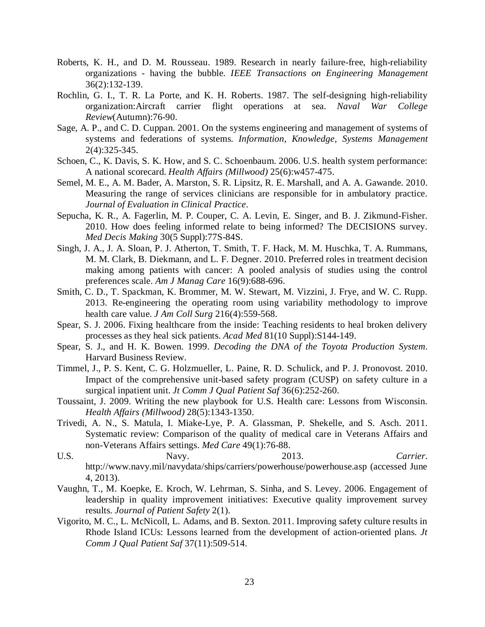- Roberts, K. H., and D. M. Rousseau. 1989. Research in nearly failure-free, high-reliability organizations - having the bubble. *IEEE Transactions on Engineering Management* 36(2):132-139.
- Rochlin, G. I., T. R. La Porte, and K. H. Roberts. 1987. The self-designing high-reliability organization:Aircraft carrier flight operations at sea. *Naval War College Review*(Autumn):76-90.
- Sage, A. P., and C. D. Cuppan. 2001. On the systems engineering and management of systems of systems and federations of systems. *Information, Knowledge, Systems Management* 2(4):325-345.
- Schoen, C., K. Davis, S. K. How, and S. C. Schoenbaum. 2006. U.S. health system performance: A national scorecard. *Health Affairs (Millwood)* 25(6):w457-475.
- Semel, M. E., A. M. Bader, A. Marston, S. R. Lipsitz, R. E. Marshall, and A. A. Gawande. 2010. Measuring the range of services clinicians are responsible for in ambulatory practice. *Journal of Evaluation in Clinical Practice*.
- Sepucha, K. R., A. Fagerlin, M. P. Couper, C. A. Levin, E. Singer, and B. J. Zikmund-Fisher. 2010. How does feeling informed relate to being informed? The DECISIONS survey. *Med Decis Making* 30(5 Suppl):77S-84S.
- Singh, J. A., J. A. Sloan, P. J. Atherton, T. Smith, T. F. Hack, M. M. Huschka, T. A. Rummans, M. M. Clark, B. Diekmann, and L. F. Degner. 2010. Preferred roles in treatment decision making among patients with cancer: A pooled analysis of studies using the control preferences scale. *Am J Manag Care* 16(9):688-696.
- Smith, C. D., T. Spackman, K. Brommer, M. W. Stewart, M. Vizzini, J. Frye, and W. C. Rupp. 2013. Re-engineering the operating room using variability methodology to improve health care value. *J Am Coll Surg* 216(4):559-568.
- Spear, S. J. 2006. Fixing healthcare from the inside: Teaching residents to heal broken delivery processes as they heal sick patients. *Acad Med* 81(10 Suppl):S144-149.
- Spear, S. J., and H. K. Bowen. 1999. *Decoding the DNA of the Toyota Production System*. Harvard Business Review.
- Timmel, J., P. S. Kent, C. G. Holzmueller, L. Paine, R. D. Schulick, and P. J. Pronovost. 2010. Impact of the comprehensive unit-based safety program (CUSP) on safety culture in a surgical inpatient unit. *Jt Comm J Qual Patient Saf* 36(6):252-260.
- Toussaint, J. 2009. Writing the new playbook for U.S. Health care: Lessons from Wisconsin. *Health Affairs (Millwood)* 28(5):1343-1350.
- Trivedi, A. N., S. Matula, I. Miake-Lye, P. A. Glassman, P. Shekelle, and S. Asch. 2011. Systematic review: Comparison of the quality of medical care in Veterans Affairs and non-Veterans Affairs settings. *Med Care* 49(1):76-88.
- U.S. Navy. 2013. *Carrier*. http://www.navy.mil/navydata/ships/carriers/powerhouse/powerhouse.asp (accessed June 4, 2013).
- Vaughn, T., M. Koepke, E. Kroch, W. Lehrman, S. Sinha, and S. Levey. 2006. Engagement of leadership in quality improvement initiatives: Executive quality improvement survey results. *Journal of Patient Safety* 2(1).
- Vigorito, M. C., L. McNicoll, L. Adams, and B. Sexton. 2011. Improving safety culture results in Rhode Island ICUs: Lessons learned from the development of action-oriented plans. *Jt Comm J Qual Patient Saf* 37(11):509-514.